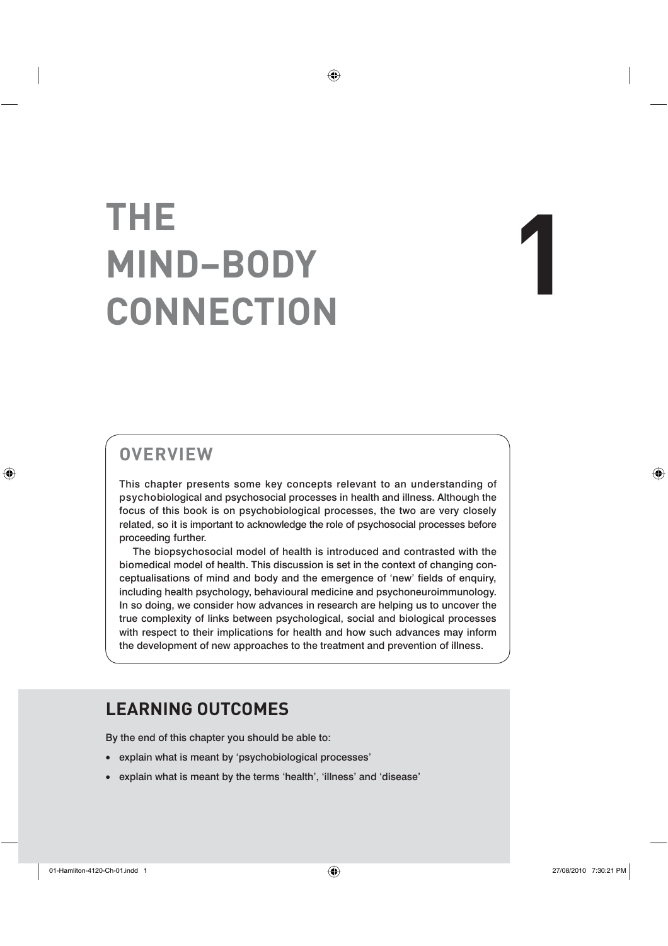# THE<br>
MIND-BODY<br>
CONNECTION **MIND–BODY CONNECTION**

## **OVERVIEW**

◈

This chapter presents some key concepts relevant to an understanding of psychobiological and psychosocial processes in health and illness. Although the focus of this book is on psychobiological processes, the two are very closely related, so it is important to acknowledge the role of psychosocial processes before proceeding further.

◈

The biopsychosocial model of health is introduced and contrasted with the biomedical model of health. This discussion is set in the context of changing conceptualisations of mind and body and the emergence of 'new' fields of enquiry, including health psychology, behavioural medicine and psychoneuroimmunology. In so doing, we consider how advances in research are helping us to uncover the true complexity of links between psychological, social and biological processes with respect to their implications for health and how such advances may inform the development of new approaches to the treatment and prevention of illness.

# **LEARNING OUTCOMES**

By the end of this chapter you should be able to:

- explain what is meant by 'psychobiological processes'
- v explain what is meant by the terms 'health', 'illness' and 'disease'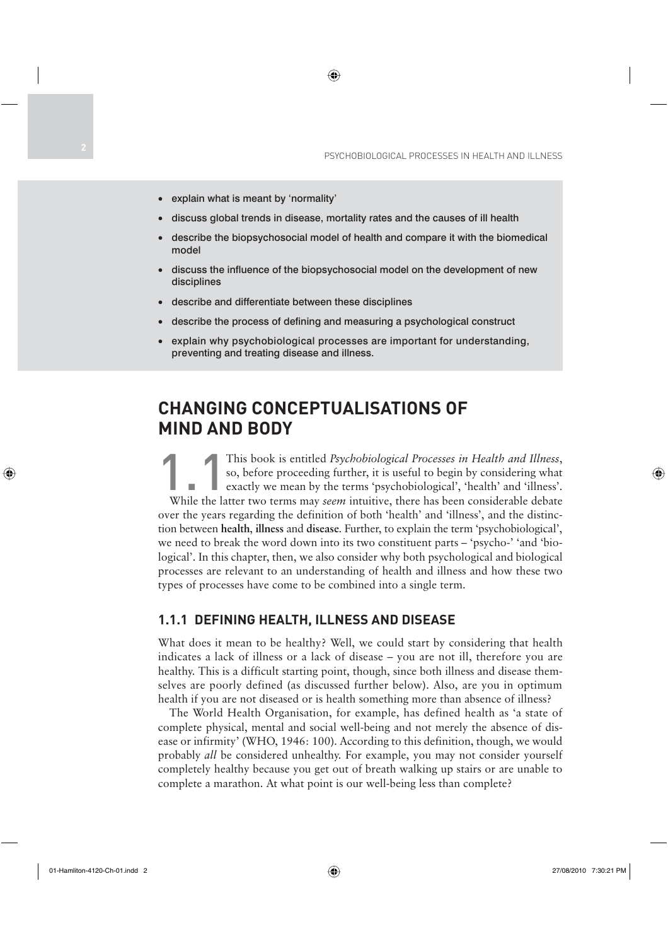- explain what is meant by 'normality'
- discuss global trends in disease, mortality rates and the causes of ill health
- describe the biopsychosocial model of health and compare it with the biomedical model
- discuss the influence of the biopsychosocial model on the development of new disciplines
- describe and differentiate between these disciplines
- describe the process of defining and measuring a psychological construct
- explain why psychobiological processes are important for understanding, preventing and treating disease and illness.

# **CHANGING CONCEPTUALISATIONS OF MIND AND BODY**

This book is entitled *Psychobiological Processes in Health and Illness*,<br>so, before proceeding further, it is useful to begin by considering what<br>exactly we mean by the terms 'psychobiological', 'health' and 'illness'.<br>Wh so, before proceeding further, it is useful to begin by considering what exactly we mean by the terms 'psychobiological', 'health' and 'illness'. While the latter two terms may *seem* intuitive, there has been considerable debate over the years regarding the definition of both 'health' and 'illness', and the distinction between **health**, **illness** and **disease**. Further, to explain the term 'psychobiological', we need to break the word down into its two constituent parts – 'psycho-' 'and 'biological'. In this chapter, then, we also consider why both psychological and biological processes are relevant to an understanding of health and illness and how these two types of processes have come to be combined into a single term.

#### **1.1.1 DEFINING HEALTH, ILLNESS AND DISEASE**

What does it mean to be healthy? Well, we could start by considering that health indicates a lack of illness or a lack of disease – you are not ill, therefore you are healthy. This is a difficult starting point, though, since both illness and disease themselves are poorly defined (as discussed further below). Also, are you in optimum health if you are not diseased or is health something more than absence of illness?

The World Health Organisation, for example, has defined health as 'a state of complete physical, mental and social well-being and not merely the absence of disease or infirmity' (WHO, 1946: 100). According to this definition, though, we would probably *all* be considered unhealthy. For example, you may not consider yourself completely healthy because you get out of breath walking up stairs or are unable to complete a marathon. At what point is our well-being less than complete?

⊕

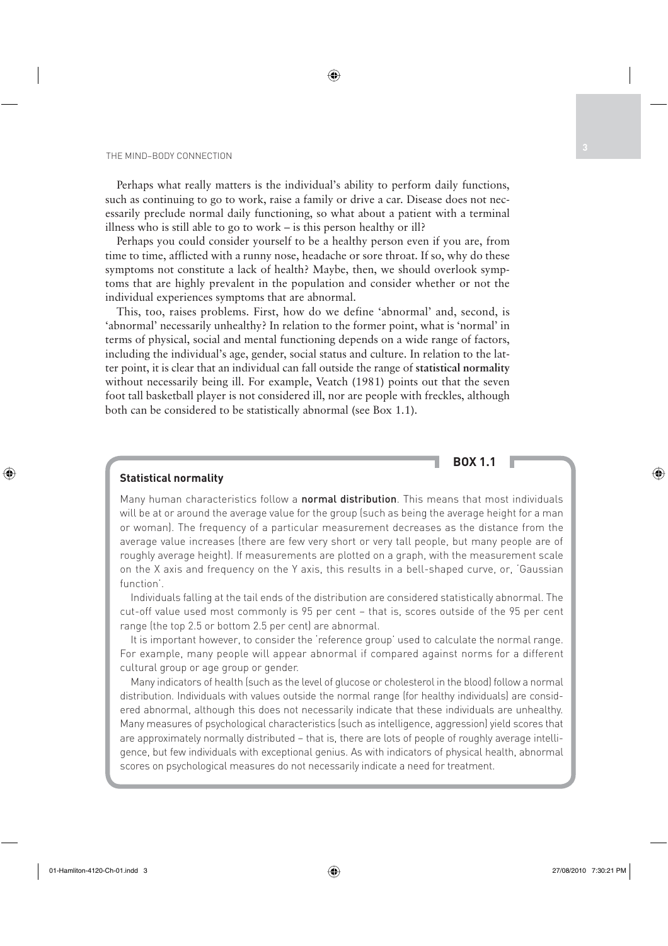Perhaps what really matters is the individual's ability to perform daily functions, such as continuing to go to work, raise a family or drive a car. Disease does not necessarily preclude normal daily functioning, so what about a patient with a terminal illness who is still able to go to work – is this person healthy or ill?

Perhaps you could consider yourself to be a healthy person even if you are, from time to time, afflicted with a runny nose, headache or sore throat. If so, why do these symptoms not constitute a lack of health? Maybe, then, we should overlook symptoms that are highly prevalent in the population and consider whether or not the individual experiences symptoms that are abnormal.

This, too, raises problems. First, how do we define 'abnormal' and, second, is 'abnormal' necessarily unhealthy? In relation to the former point, what is 'normal' in terms of physical, social and mental functioning depends on a wide range of factors, including the individual's age, gender, social status and culture. In relation to the latter point, it is clear that an individual can fall outside the range of **statistical normality** without necessarily being ill. For example, Veatch (1981) points out that the seven foot tall basketball player is not considered ill, nor are people with freckles, although both can be considered to be statistically abnormal (see Box 1.1).

#### **BOX 1.1**

#### **Statistical normality**

◈

Many human characteristics follow a normal distribution. This means that most individuals will be at or around the average value for the group (such as being the average height for a man or woman). The frequency of a particular measurement decreases as the distance from the average value increases (there are few very short or very tall people, but many people are of roughly average height). If measurements are plotted on a graph, with the measurement scale on the X axis and frequency on the Y axis, this results in a bell-shaped curve, or, 'Gaussian function'.

Individuals falling at the tail ends of the distribution are considered statistically abnormal. The cut-off value used most commonly is 95 per cent – that is, scores outside of the 95 per cent range (the top 2.5 or bottom 2.5 per cent) are abnormal.

It is important however, to consider the 'reference group' used to calculate the normal range. For example, many people will appear abnormal if compared against norms for a different cultural group or age group or gender.

Many indicators of health (such as the level of glucose or cholesterol in the blood) follow a normal distribution. Individuals with values outside the normal range (for healthy individuals) are considered abnormal, although this does not necessarily indicate that these individuals are unhealthy. Many measures of psychological characteristics (such as intelligence, aggression) yield scores that are approximately normally distributed – that is, there are lots of people of roughly average intelligence, but few individuals with exceptional genius. As with indicators of physical health, abnormal scores on psychological measures do not necessarily indicate a need for treatment.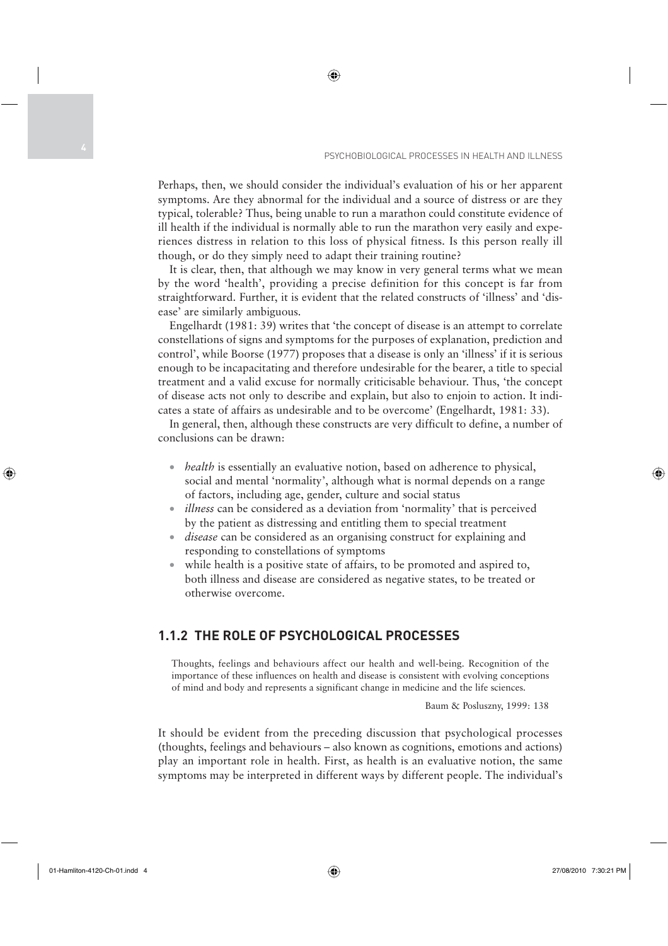Perhaps, then, we should consider the individual's evaluation of his or her apparent symptoms. Are they abnormal for the individual and a source of distress or are they typical, tolerable? Thus, being unable to run a marathon could constitute evidence of ill health if the individual is normally able to run the marathon very easily and experiences distress in relation to this loss of physical fitness. Is this person really ill though, or do they simply need to adapt their training routine?

◈

It is clear, then, that although we may know in very general terms what we mean by the word 'health', providing a precise definition for this concept is far from straightforward. Further, it is evident that the related constructs of 'illness' and 'disease' are similarly ambiguous.

Engelhardt (1981: 39) writes that 'the concept of disease is an attempt to correlate constellations of signs and symptoms for the purposes of explanation, prediction and control', while Boorse (1977) proposes that a disease is only an 'illness' if it is serious enough to be incapacitating and therefore undesirable for the bearer, a title to special treatment and a valid excuse for normally criticisable behaviour. Thus, 'the concept of disease acts not only to describe and explain, but also to enjoin to action. It indicates a state of affairs as undesirable and to be overcome' (Engelhardt, 1981: 33).

In general, then, although these constructs are very difficult to define, a number of conclusions can be drawn:

- *health* is essentially an evaluative notion, based on adherence to physical, social and mental 'normality', although what is normal depends on a range of factors, including age, gender, culture and social status
- v *illness* can be considered as a deviation from 'normality' that is perceived by the patient as distressing and entitling them to special treatment
- v *disease* can be considered as an organising construct for explaining and responding to constellations of symptoms
- while health is a positive state of affairs, to be promoted and aspired to, both illness and disease are considered as negative states, to be treated or otherwise overcome.

### **1.1.2 THE ROLE OF PSYCHOLOGICAL PROCESSES**

Thoughts, feelings and behaviours affect our health and well-being. Recognition of the importance of these influences on health and disease is consistent with evolving conceptions of mind and body and represents a significant change in medicine and the life sciences.

Baum & Posluszny, 1999: 138

It should be evident from the preceding discussion that psychological processes (thoughts, feelings and behaviours – also known as cognitions, emotions and actions) play an important role in health. First, as health is an evaluative notion, the same symptoms may be interpreted in different ways by different people. The individual's

◈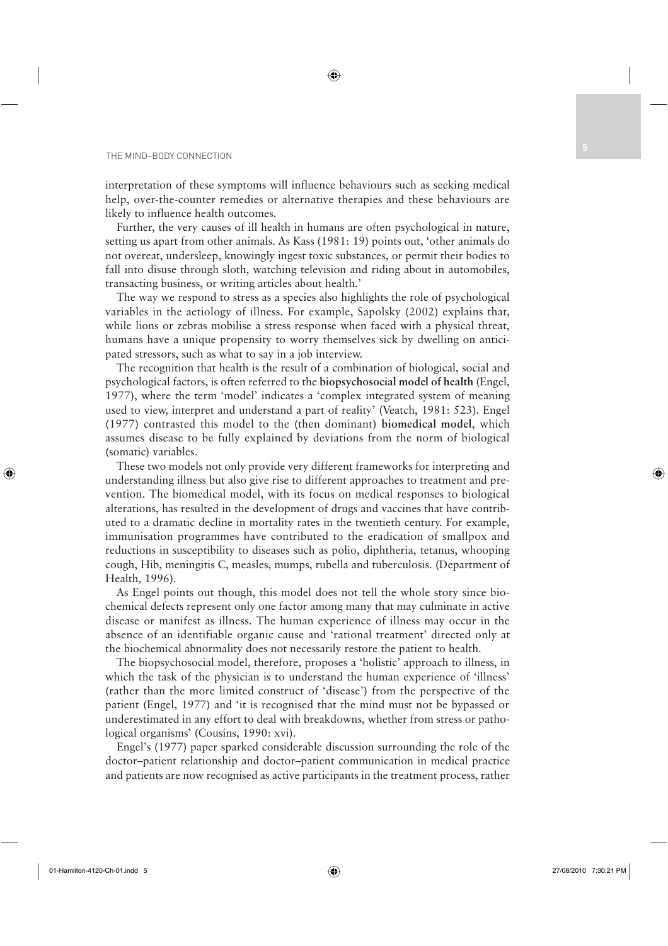interpretation of these symptoms will influence behaviours such as seeking medical help, over-the-counter remedies or alternative therapies and these behaviours are likely to influence health outcomes.

⊕

Further, the very causes of ill health in humans are often psychological in nature, setting us apart from other animals. As Kass (1981: 19) points out, 'other animals do not overeat, undersleep, knowingly ingest toxic substances, or permit their bodies to fall into disuse through sloth, watching television and riding about in automobiles, transacting business, or writing articles about health.'

The way we respond to stress as a species also highlights the role of psychological variables in the aetiology of illness. For example, Sapolsky (2002) explains that, while lions or zebras mobilise a stress response when faced with a physical threat, humans have a unique propensity to worry themselves sick by dwelling on anticipated stressors, such as what to say in a job interview.

The recognition that health is the result of a combination of biological, social and psychological factors, is often referred to the **biopsychosocial model of health** (Engel, 1977), where the term 'model' indicates a 'complex integrated system of meaning used to view, interpret and understand a part of reality' (Veatch, 1981: 523). Engel (1977) contrasted this model to the (then dominant) **biomedical model**, which assumes disease to be fully explained by deviations from the norm of biological (somatic) variables.

These two models not only provide very different frameworks for interpreting and understanding illness but also give rise to different approaches to treatment and prevention. The biomedical model, with its focus on medical responses to biological alterations, has resulted in the development of drugs and vaccines that have contributed to a dramatic decline in mortality rates in the twentieth century. For example, immunisation programmes have contributed to the eradication of smallpox and reductions in susceptibility to diseases such as polio, diphtheria, tetanus, whooping cough, Hib, meningitis C, measles, mumps, rubella and tuberculosis. (Department of Health, 1996).

As Engel points out though, this model does not tell the whole story since biochemical defects represent only one factor among many that may culminate in active disease or manifest as illness. The human experience of illness may occur in the absence of an identifiable organic cause and 'rational treatment' directed only at the biochemical abnormality does not necessarily restore the patient to health.

The biopsychosocial model, therefore, proposes a 'holistic' approach to illness, in which the task of the physician is to understand the human experience of 'illness' (rather than the more limited construct of 'disease') from the perspective of the patient (Engel, 1977) and 'it is recognised that the mind must not be bypassed or underestimated in any effort to deal with breakdowns, whether from stress or pathological organisms' (Cousins, 1990: xvi).

Engel's (1977) paper sparked considerable discussion surrounding the role of the doctor–patient relationship and doctor–patient communication in medical practice and patients are now recognised as active participants in the treatment process, rather

◈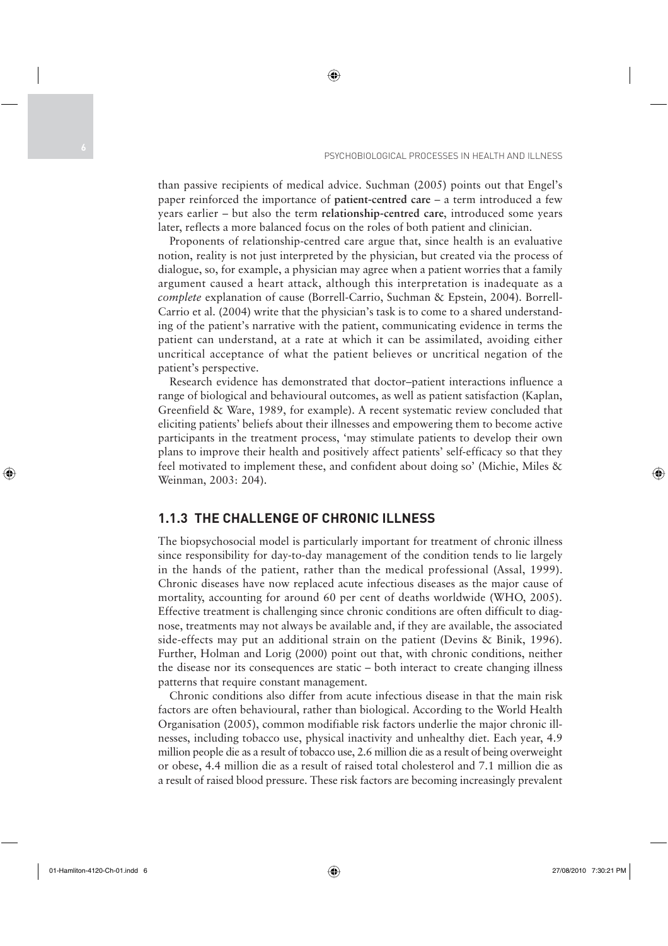than passive recipients of medical advice. Suchman (2005) points out that Engel's paper reinforced the importance of **patient-centred care** – a term introduced a few years earlier – but also the term **relationship-centred care**, introduced some years later, reflects a more balanced focus on the roles of both patient and clinician.

⊕

Proponents of relationship-centred care argue that, since health is an evaluative notion, reality is not just interpreted by the physician, but created via the process of dialogue, so, for example, a physician may agree when a patient worries that a family argument caused a heart attack, although this interpretation is inadequate as a *complete* explanation of cause (Borrell-Carrio, Suchman & Epstein, 2004). Borrell-Carrio et al. (2004) write that the physician's task is to come to a shared understanding of the patient's narrative with the patient, communicating evidence in terms the patient can understand, at a rate at which it can be assimilated, avoiding either uncritical acceptance of what the patient believes or uncritical negation of the patient's perspective.

Research evidence has demonstrated that doctor–patient interactions influence a range of biological and behavioural outcomes, as well as patient satisfaction (Kaplan, Greenfield & Ware, 1989, for example). A recent systematic review concluded that eliciting patients' beliefs about their illnesses and empowering them to become active participants in the treatment process, 'may stimulate patients to develop their own plans to improve their health and positively affect patients' self-efficacy so that they feel motivated to implement these, and confident about doing so' (Michie, Miles & Weinman, 2003: 204).

#### **1.1.3 THE CHALLENGE OF CHRONIC ILLNESS**

The biopsychosocial model is particularly important for treatment of chronic illness since responsibility for day-to-day management of the condition tends to lie largely in the hands of the patient, rather than the medical professional (Assal, 1999). Chronic diseases have now replaced acute infectious diseases as the major cause of mortality, accounting for around 60 per cent of deaths worldwide (WHO, 2005). Effective treatment is challenging since chronic conditions are often difficult to diagnose, treatments may not always be available and, if they are available, the associated side-effects may put an additional strain on the patient (Devins & Binik, 1996). Further, Holman and Lorig (2000) point out that, with chronic conditions, neither the disease nor its consequences are static – both interact to create changing illness patterns that require constant management.

Chronic conditions also differ from acute infectious disease in that the main risk factors are often behavioural, rather than biological. According to the World Health Organisation (2005), common modifiable risk factors underlie the major chronic illnesses, including tobacco use, physical inactivity and unhealthy diet. Each year, 4.9 million people die as a result of tobacco use, 2.6 million die as a result of being overweight or obese, 4.4 million die as a result of raised total cholesterol and 7.1 million die as a result of raised blood pressure. These risk factors are becoming increasingly prevalent

◈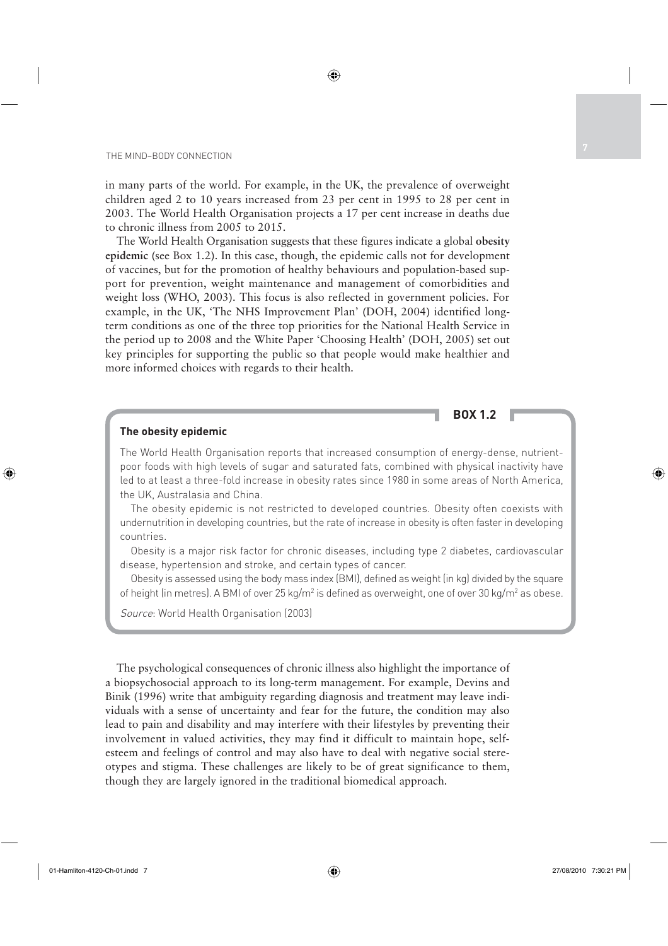in many parts of the world. For example, in the UK, the prevalence of overweight children aged 2 to 10 years increased from 23 per cent in 1995 to 28 per cent in 2003. The World Health Organisation projects a 17 per cent increase in deaths due to chronic illness from 2005 to 2015.

The World Health Organisation suggests that these figures indicate a global **obesity epidemic** (see Box 1.2). In this case, though, the epidemic calls not for development of vaccines, but for the promotion of healthy behaviours and population-based support for prevention, weight maintenance and management of comorbidities and weight loss (WHO, 2003). This focus is also reflected in government policies. For example, in the UK, 'The NHS Improvement Plan' (DOH, 2004) identified longterm conditions as one of the three top priorities for the National Health Service in the period up to 2008 and the White Paper 'Choosing Health' (DOH, 2005) set out key principles for supporting the public so that people would make healthier and more informed choices with regards to their health.

#### **The obesity epidemic**

The World Health Organisation reports that increased consumption of energy-dense, nutrientpoor foods with high levels of sugar and saturated fats, combined with physical inactivity have led to at least a three-fold increase in obesity rates since 1980 in some areas of North America, the UK, Australasia and China.

**BOX 1.2**

The obesity epidemic is not restricted to developed countries. Obesity often coexists with undernutrition in developing countries, but the rate of increase in obesity is often faster in developing countries.

Obesity is a major risk factor for chronic diseases, including type 2 diabetes, cardiovascular disease, hypertension and stroke, and certain types of cancer.

Obesity is assessed using the body mass index (BMI), defined as weight (in kg) divided by the square of height (in metres). A BMI of over 25 kg/m $^2$  is defined as overweight, one of over 30 kg/m $^2$  as obese.

Source: World Health Organisation (2003)

The psychological consequences of chronic illness also highlight the importance of a biopsychosocial approach to its long-term management. For example, Devins and Binik (1996) write that ambiguity regarding diagnosis and treatment may leave individuals with a sense of uncertainty and fear for the future, the condition may also lead to pain and disability and may interfere with their lifestyles by preventing their involvement in valued activities, they may find it difficult to maintain hope, selfesteem and feelings of control and may also have to deal with negative social stereotypes and stigma. These challenges are likely to be of great significance to them, though they are largely ignored in the traditional biomedical approach.

◈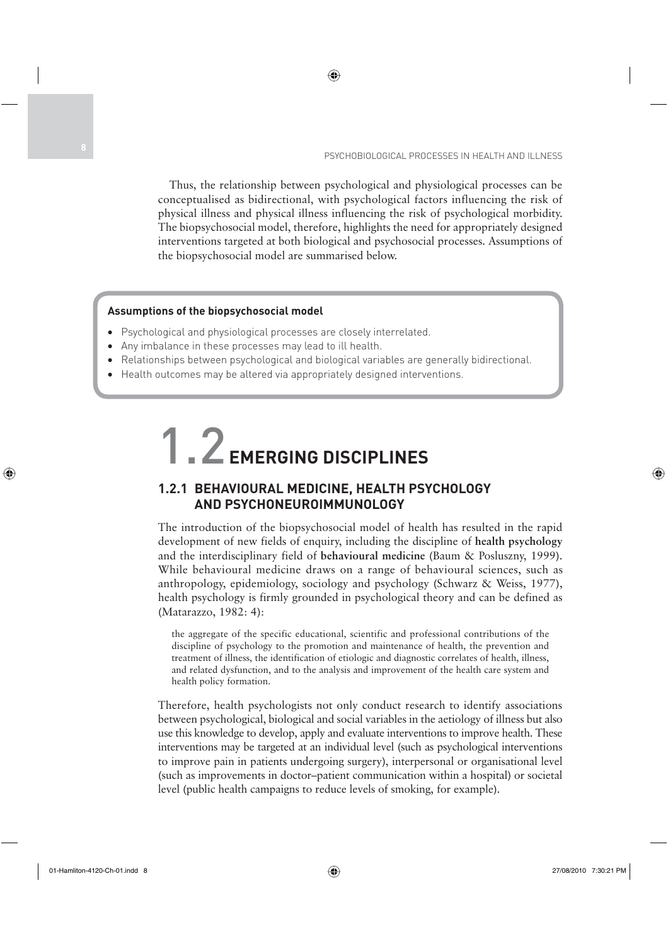Thus, the relationship between psychological and physiological processes can be conceptualised as bidirectional, with psychological factors influencing the risk of physical illness and physical illness influencing the risk of psychological morbidity. The biopsychosocial model, therefore, highlights the need for appropriately designed interventions targeted at both biological and psychosocial processes. Assumptions of the biopsychosocial model are summarised below.

#### **Assumptions of the biopsychosocial model**

- Psychological and physiological processes are closely interrelated.
- Any imbalance in these processes may lead to ill health.
- Relationships between psychological and biological variables are generally bidirectional.
- Health outcomes may be altered via appropriately designed interventions.

# 1.2 **EMERGING DISCIPLINES**

### **1.2.1 BEHAVIOURAL MEDICINE, HEALTH PSYCHOLOGY AND PSYCHONEUROIMMUNOLOGY**

The introduction of the biopsychosocial model of health has resulted in the rapid development of new fields of enquiry, including the discipline of **health psychology** and the interdisciplinary field of **behavioural medicine** (Baum & Posluszny, 1999). While behavioural medicine draws on a range of behavioural sciences, such as anthropology, epidemiology, sociology and psychology (Schwarz & Weiss, 1977), health psychology is firmly grounded in psychological theory and can be defined as (Matarazzo, 1982: 4):

the aggregate of the specific educational, scientific and professional contributions of the discipline of psychology to the promotion and maintenance of health, the prevention and treatment of illness, the identification of etiologic and diagnostic correlates of health, illness, and related dysfunction, and to the analysis and improvement of the health care system and health policy formation.

Therefore, health psychologists not only conduct research to identify associations between psychological, biological and social variables in the aetiology of illness but also use this knowledge to develop, apply and evaluate interventions to improve health. These interventions may be targeted at an individual level (such as psychological interventions to improve pain in patients undergoing surgery), interpersonal or organisational level (such as improvements in doctor–patient communication within a hospital) or societal level (public health campaigns to reduce levels of smoking, for example).

♠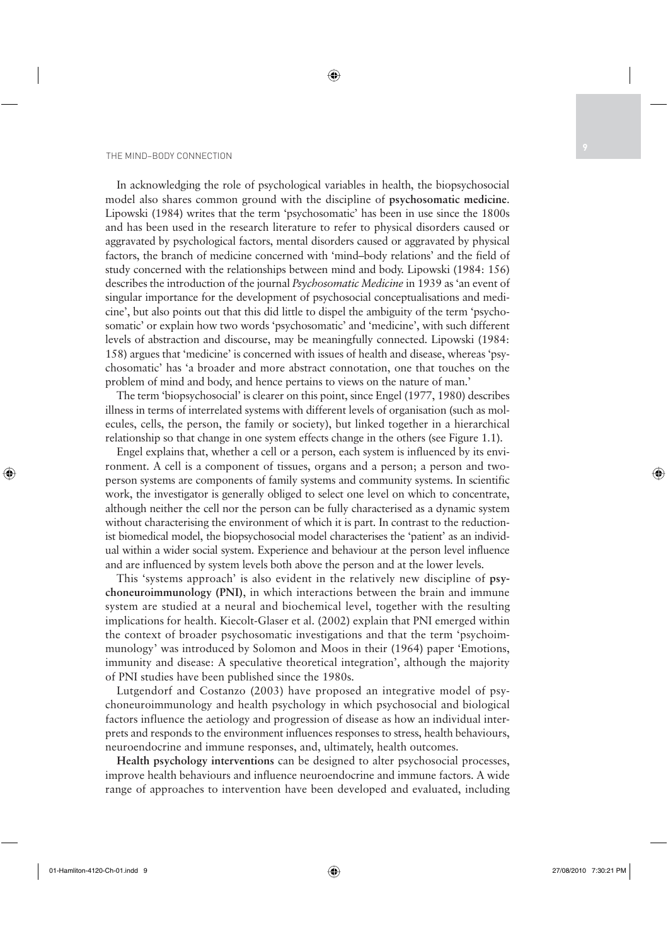In acknowledging the role of psychological variables in health, the biopsychosocial model also shares common ground with the discipline of **psychosomatic medicine**. Lipowski (1984) writes that the term 'psychosomatic' has been in use since the 1800s and has been used in the research literature to refer to physical disorders caused or aggravated by psychological factors, mental disorders caused or aggravated by physical factors, the branch of medicine concerned with 'mind–body relations' and the field of study concerned with the relationships between mind and body. Lipowski (1984: 156) describes the introduction of the journal *Psychosomatic Medicine* in 1939 as 'an event of singular importance for the development of psychosocial conceptualisations and medicine', but also points out that this did little to dispel the ambiguity of the term 'psychosomatic' or explain how two words 'psychosomatic' and 'medicine', with such different levels of abstraction and discourse, may be meaningfully connected. Lipowski (1984: 158) argues that 'medicine' is concerned with issues of health and disease, whereas 'psychosomatic' has 'a broader and more abstract connotation, one that touches on the problem of mind and body, and hence pertains to views on the nature of man.'

The term 'biopsychosocial' is clearer on this point, since Engel (1977, 1980) describes illness in terms of interrelated systems with different levels of organisation (such as molecules, cells, the person, the family or society), but linked together in a hierarchical relationship so that change in one system effects change in the others (see Figure 1.1).

Engel explains that, whether a cell or a person, each system is influenced by its environment. A cell is a component of tissues, organs and a person; a person and twoperson systems are components of family systems and community systems. In scientific work, the investigator is generally obliged to select one level on which to concentrate, although neither the cell nor the person can be fully characterised as a dynamic system without characterising the environment of which it is part. In contrast to the reductionist biomedical model, the biopsychosocial model characterises the 'patient' as an individual within a wider social system. Experience and behaviour at the person level influence and are influenced by system levels both above the person and at the lower levels.

This 'systems approach' is also evident in the relatively new discipline of **psychoneuroimmunology (PNI)**, in which interactions between the brain and immune system are studied at a neural and biochemical level, together with the resulting implications for health. Kiecolt-Glaser et al. (2002) explain that PNI emerged within the context of broader psychosomatic investigations and that the term 'psychoimmunology' was introduced by Solomon and Moos in their (1964) paper 'Emotions, immunity and disease: A speculative theoretical integration', although the majority of PNI studies have been published since the 1980s.

Lutgendorf and Costanzo (2003) have proposed an integrative model of psychoneuroimmunology and health psychology in which psychosocial and biological factors influence the aetiology and progression of disease as how an individual interprets and responds to the environment influences responses to stress, health behaviours, neuroendocrine and immune responses, and, ultimately, health outcomes.

**Health psychology interventions** can be designed to alter psychosocial processes, improve health behaviours and influence neuroendocrine and immune factors. A wide range of approaches to intervention have been developed and evaluated, including

◈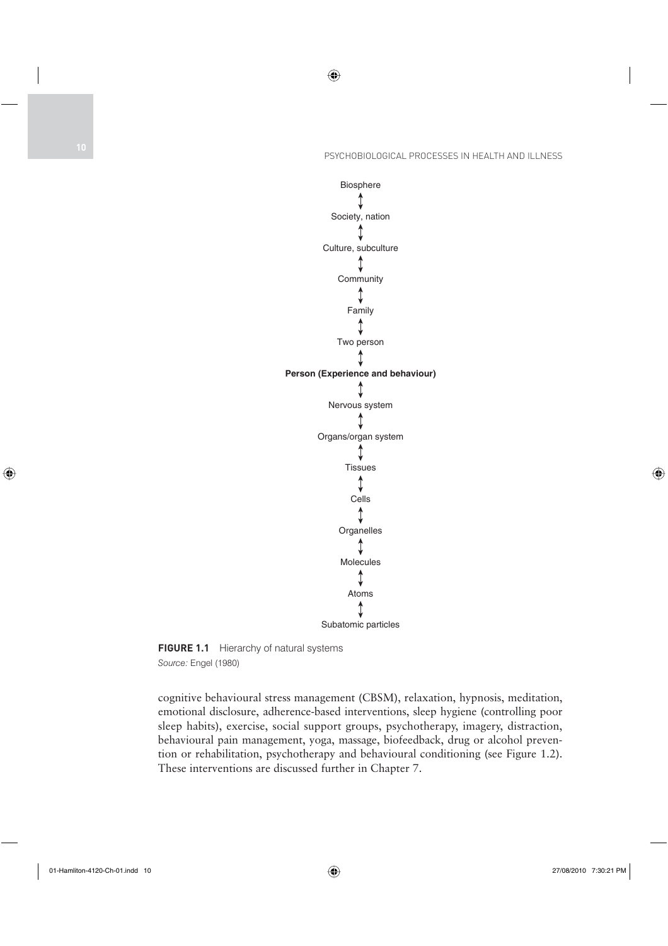◈

◈

PSYCHOBIOLOGICAL PROCESSES IN HEALTH AND ILLNESS



**FIGURE 1.1** Hierarchy of natural systems *Source:* Engel (1980)

cognitive behavioural stress management (CBSM), relaxation, hypnosis, meditation, emotional disclosure, adherence-based interventions, sleep hygiene (controlling poor sleep habits), exercise, social support groups, psychotherapy, imagery, distraction, behavioural pain management, yoga, massage, biofeedback, drug or alcohol prevention or rehabilitation, psychotherapy and behavioural conditioning (see Figure 1.2). These interventions are discussed further in Chapter 7.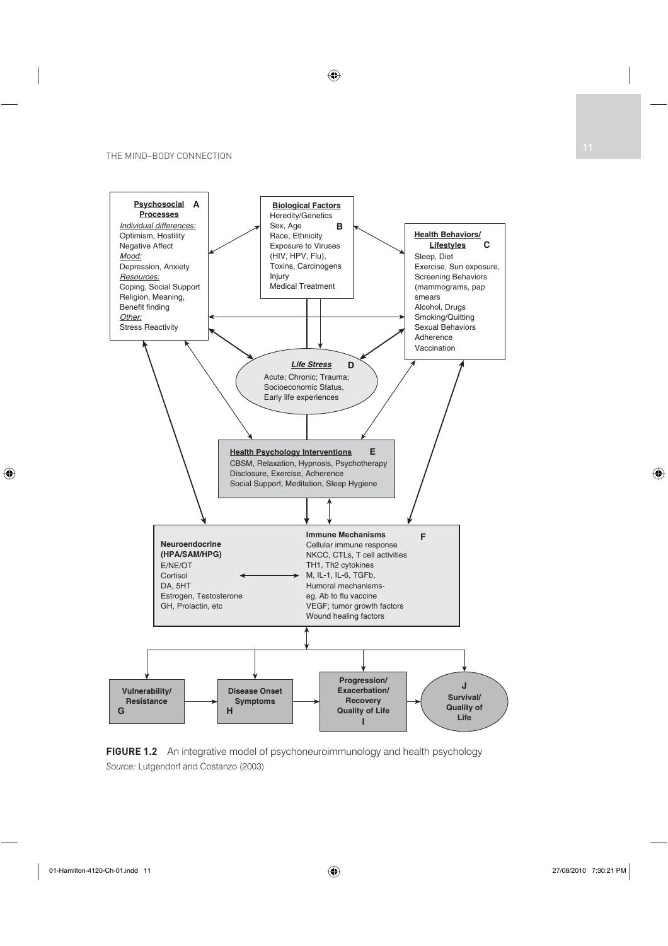

◈



◈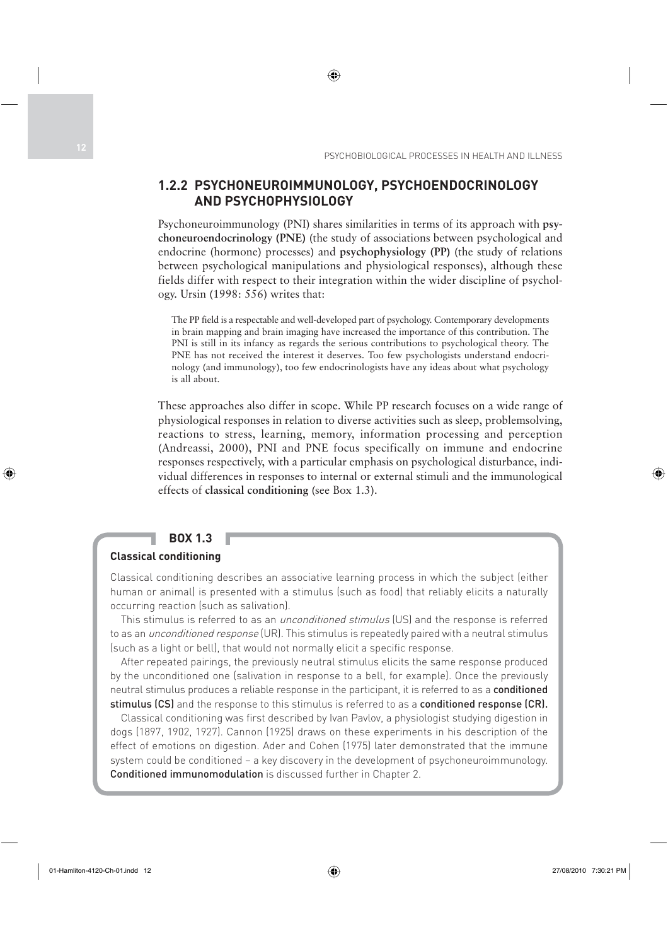### **1.2.2 PSYCHONEUROIMMUNOLOGY, PSYCHOENDOCRINOLOGY AND PSYCHOPHYSIOLOGY**

Psychoneuroimmunology (PNI) shares similarities in terms of its approach with **psychoneuroendocrinology (PNE)** (the study of associations between psychological and endocrine (hormone) processes) and **psychophysiology (PP)** (the study of relations between psychological manipulations and physiological responses), although these fields differ with respect to their integration within the wider discipline of psychology. Ursin (1998: 556) writes that:

The PP field is a respectable and well-developed part of psychology. Contemporary developments in brain mapping and brain imaging have increased the importance of this contribution. The PNI is still in its infancy as regards the serious contributions to psychological theory. The PNE has not received the interest it deserves. Too few psychologists understand endocrinology (and immunology), too few endocrinologists have any ideas about what psychology is all about.

These approaches also differ in scope. While PP research focuses on a wide range of physiological responses in relation to diverse activities such as sleep, problemsolving, reactions to stress, learning, memory, information processing and perception (Andreassi, 2000), PNI and PNE focus specifically on immune and endocrine responses respectively, with a particular emphasis on psychological disturbance, individual differences in responses to internal or external stimuli and the immunological effects of **classical conditioning** (see Box 1.3).

#### **BOX 1.3**

#### **Classical conditioning**

Classical conditioning describes an associative learning process in which the subject (either human or animal) is presented with a stimulus (such as food) that reliably elicits a naturally occurring reaction (such as salivation).

This stimulus is referred to as an *unconditioned stimulus* (US) and the response is referred to as an *unconditioned response* (UR). This stimulus is repeatedly paired with a neutral stimulus (such as a light or bell), that would not normally elicit a specific response.

After repeated pairings, the previously neutral stimulus elicits the same response produced by the unconditioned one (salivation in response to a bell, for example). Once the previously neutral stimulus produces a reliable response in the participant, it is referred to as a conditioned stimulus (CS) and the response to this stimulus is referred to as a conditioned response (CR).

Classical conditioning was first described by Ivan Pavlov, a physiologist studying digestion in dogs (1897, 1902, 1927). Cannon (1925) draws on these experiments in his description of the effect of emotions on digestion. Ader and Cohen (1975) later demonstrated that the immune system could be conditioned – a key discovery in the development of psychoneuroimmunology. Conditioned immunomodulation is discussed further in Chapter 2.

◈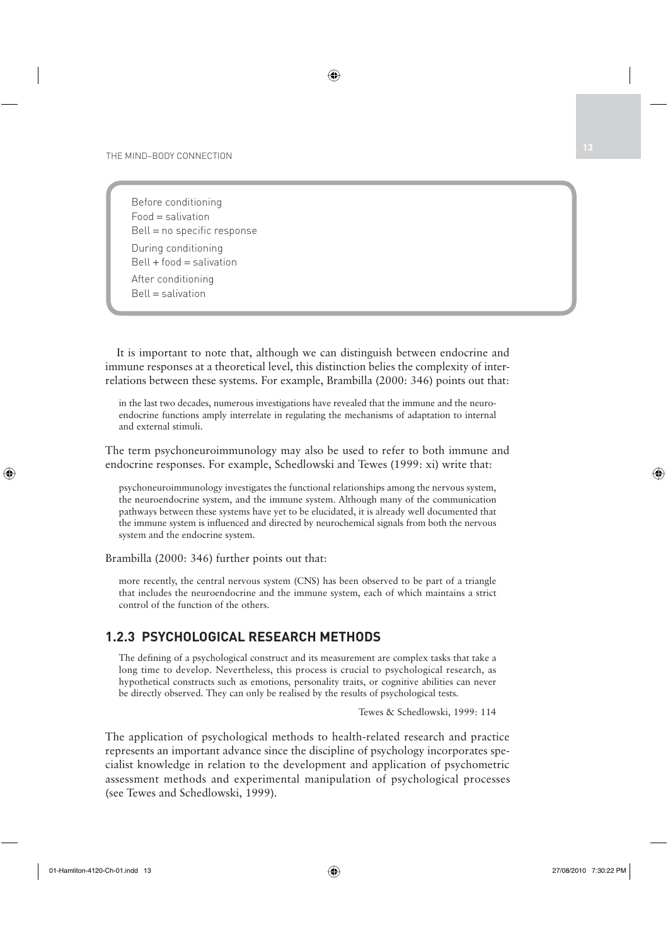Before conditioning Food = salivation Bell = no specific response During conditioning  $Bell + food =$  salivation After conditioning  $Bell =$  salivation

It is important to note that, although we can distinguish between endocrine and immune responses at a theoretical level, this distinction belies the complexity of interrelations between these systems. For example, Brambilla (2000: 346) points out that:

♠

in the last two decades, numerous investigations have revealed that the immune and the neuroendocrine functions amply interrelate in regulating the mechanisms of adaptation to internal and external stimuli.

The term psychoneuroimmunology may also be used to refer to both immune and endocrine responses. For example, Schedlowski and Tewes (1999: xi) write that:

psychoneuroimmunology investigates the functional relationships among the nervous system, the neuroendocrine system, and the immune system. Although many of the communication pathways between these systems have yet to be elucidated, it is already well documented that the immune system is influenced and directed by neurochemical signals from both the nervous system and the endocrine system.

Brambilla (2000: 346) further points out that:

more recently, the central nervous system (CNS) has been observed to be part of a triangle that includes the neuroendocrine and the immune system, each of which maintains a strict control of the function of the others.

#### **1.2.3 PSYCHOLOGICAL RESEARCH METHODS**

The defining of a psychological construct and its measurement are complex tasks that take a long time to develop. Nevertheless, this process is crucial to psychological research, as hypothetical constructs such as emotions, personality traits, or cognitive abilities can never be directly observed. They can only be realised by the results of psychological tests.

Tewes & Schedlowski, 1999: 114

The application of psychological methods to health-related research and practice represents an important advance since the discipline of psychology incorporates specialist knowledge in relation to the development and application of psychometric assessment methods and experimental manipulation of psychological processes (see Tewes and Schedlowski, 1999).

◈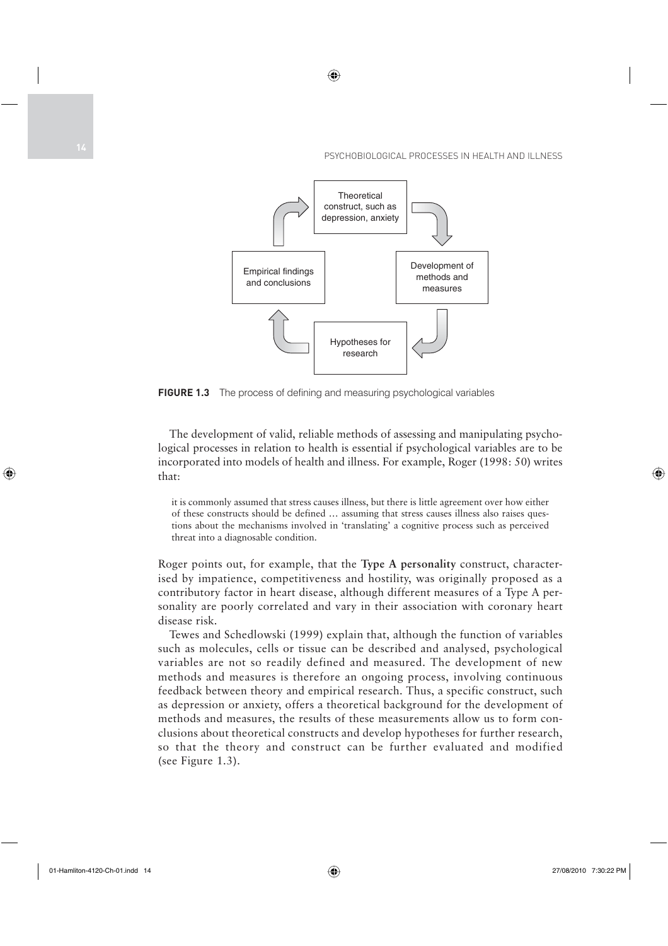

**FIGURE 1.3** The process of defining and measuring psychological variables

The development of valid, reliable methods of assessing and manipulating psychological processes in relation to health is essential if psychological variables are to be incorporated into models of health and illness. For example, Roger (1998: 50) writes that:

it is commonly assumed that stress causes illness, but there is little agreement over how either of these constructs should be defined … assuming that stress causes illness also raises questions about the mechanisms involved in 'translating' a cognitive process such as perceived threat into a diagnosable condition.

Roger points out, for example, that the **Type A personality** construct, characterised by impatience, competitiveness and hostility, was originally proposed as a contributory factor in heart disease, although different measures of a Type A personality are poorly correlated and vary in their association with coronary heart disease risk.

Tewes and Schedlowski (1999) explain that, although the function of variables such as molecules, cells or tissue can be described and analysed, psychological variables are not so readily defined and measured. The development of new methods and measures is therefore an ongoing process, involving continuous feedback between theory and empirical research. Thus, a specific construct, such as depression or anxiety, offers a theoretical background for the development of methods and measures, the results of these measurements allow us to form conclusions about theoretical constructs and develop hypotheses for further research, so that the theory and construct can be further evaluated and modified (see Figure 1.3).

♠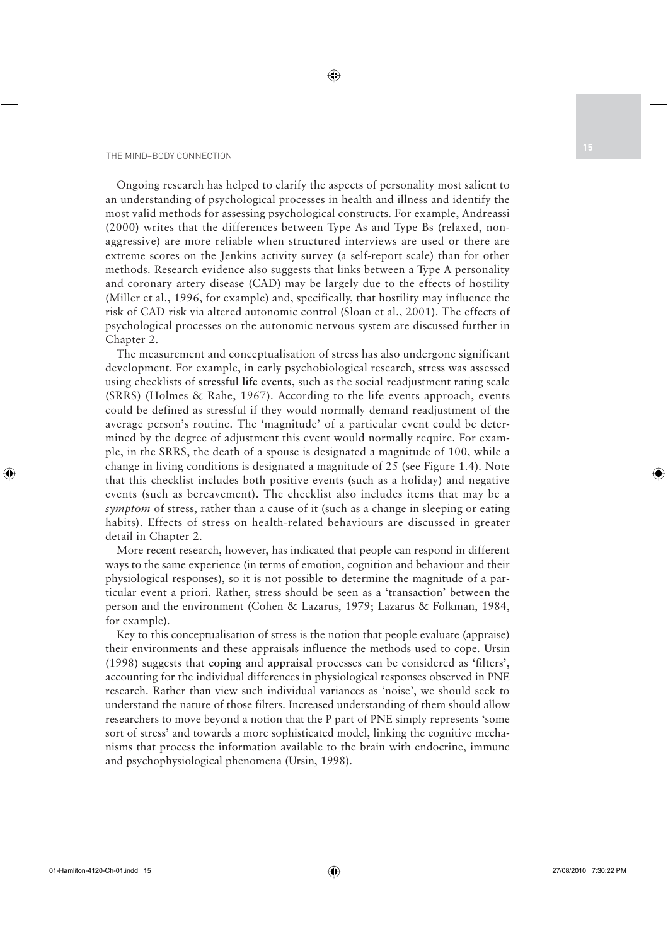Ongoing research has helped to clarify the aspects of personality most salient to an understanding of psychological processes in health and illness and identify the most valid methods for assessing psychological constructs. For example, Andreassi (2000) writes that the differences between Type As and Type Bs (relaxed, nonaggressive) are more reliable when structured interviews are used or there are extreme scores on the Jenkins activity survey (a self-report scale) than for other methods. Research evidence also suggests that links between a Type A personality and coronary artery disease (CAD) may be largely due to the effects of hostility (Miller et al., 1996, for example) and, specifically, that hostility may influence the risk of CAD risk via altered autonomic control (Sloan et al., 2001). The effects of psychological processes on the autonomic nervous system are discussed further in Chapter 2.

The measurement and conceptualisation of stress has also undergone significant development. For example, in early psychobiological research, stress was assessed using checklists of **stressful life events**, such as the social readjustment rating scale (SRRS) (Holmes & Rahe, 1967). According to the life events approach, events could be defined as stressful if they would normally demand readjustment of the average person's routine. The 'magnitude' of a particular event could be determined by the degree of adjustment this event would normally require. For example, in the SRRS, the death of a spouse is designated a magnitude of 100, while a change in living conditions is designated a magnitude of 25 (see Figure 1.4). Note that this checklist includes both positive events (such as a holiday) and negative events (such as bereavement). The checklist also includes items that may be a *symptom* of stress, rather than a cause of it (such as a change in sleeping or eating habits). Effects of stress on health-related behaviours are discussed in greater detail in Chapter 2.

More recent research, however, has indicated that people can respond in different ways to the same experience (in terms of emotion, cognition and behaviour and their physiological responses), so it is not possible to determine the magnitude of a particular event a priori. Rather, stress should be seen as a 'transaction' between the person and the environment (Cohen & Lazarus, 1979; Lazarus & Folkman, 1984, for example).

Key to this conceptualisation of stress is the notion that people evaluate (appraise) their environments and these appraisals influence the methods used to cope. Ursin (1998) suggests that **coping** and **appraisal** processes can be considered as 'filters', accounting for the individual differences in physiological responses observed in PNE research. Rather than view such individual variances as 'noise', we should seek to understand the nature of those filters. Increased understanding of them should allow researchers to move beyond a notion that the P part of PNE simply represents 'some sort of stress' and towards a more sophisticated model, linking the cognitive mechanisms that process the information available to the brain with endocrine, immune and psychophysiological phenomena (Ursin, 1998).

◈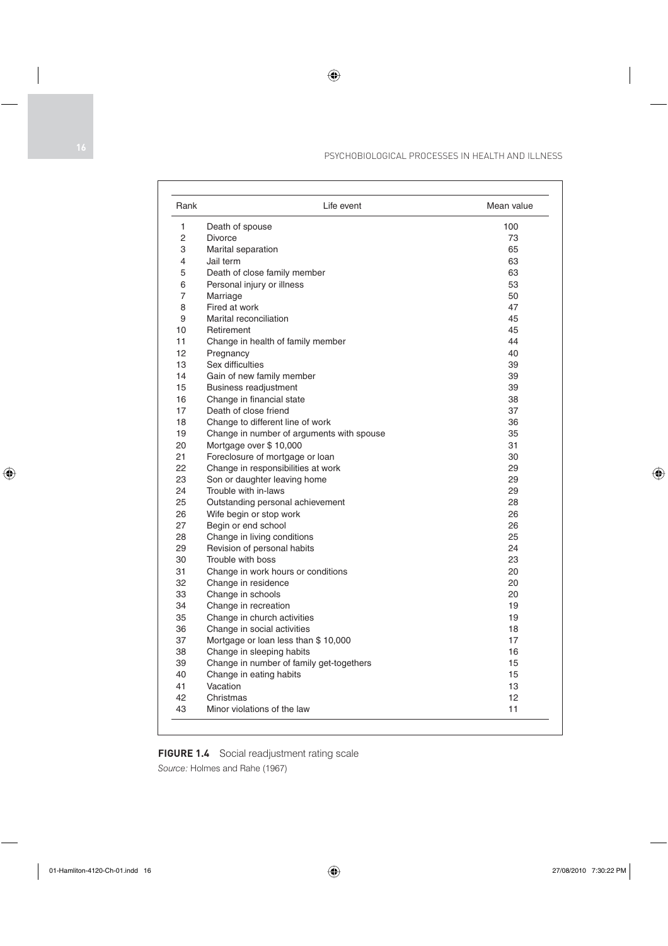| Rank           | Life event                                | Mean value |
|----------------|-------------------------------------------|------------|
| 1              | Death of spouse                           | 100        |
| $\overline{2}$ | <b>Divorce</b>                            | 73         |
| 3              | Marital separation                        | 65         |
| 4              | Jail term                                 | 63         |
| 5              | Death of close family member              | 63         |
| 6              | Personal injury or illness                | 53         |
| 7              | Marriage                                  | 50         |
| 8              | Fired at work                             | 47         |
| 9              | Marital reconciliation                    | 45         |
| 10             | Retirement                                | 45         |
| 11             | Change in health of family member         | 44         |
| 12             | Pregnancy                                 | 40         |
| 13             | Sex difficulties                          | 39         |
| 14             | Gain of new family member                 | 39         |
| 15             | <b>Business readjustment</b>              | 39         |
| 16             | Change in financial state                 | 38         |
| 17             | Death of close friend                     | 37         |
| 18             | Change to different line of work          | 36         |
| 19             | Change in number of arguments with spouse | 35         |
| 20             | Mortgage over \$10,000                    | 31         |
| 21             | Foreclosure of mortgage or loan           | 30         |
| 22             | Change in responsibilities at work        | 29         |
| 23             | Son or daughter leaving home              | 29         |
| 24             | Trouble with in-laws                      | 29         |
| 25             | Outstanding personal achievement          | 28         |
| 26             | Wife begin or stop work                   | 26         |
| 27             | Begin or end school                       | 26         |
| 28             | Change in living conditions               | 25         |
| 29             | Revision of personal habits               | 24         |
| 30             | Trouble with boss                         | 23         |
| 31             | Change in work hours or conditions        | 20         |
| 32             | Change in residence                       | 20         |
| 33             | Change in schools                         | 20         |
| 34             | Change in recreation                      | 19         |
| 35             | Change in church activities               | 19         |
| 36             | Change in social activities               | 18         |
| 37             | Mortgage or loan less than \$10,000       | 17         |
| 38             | Change in sleeping habits                 | 16         |
| 39             | Change in number of family get-togethers  | 15         |
| 40             | Change in eating habits                   | 15         |
| 41             | Vacation                                  | 13         |
| 42             | Christmas                                 | 12         |
| 43             | Minor violations of the law               | 11         |

 $\bigoplus$ 

**FIGURE 1.4** Social readjustment rating scale *Source:* Holmes and Rahe (1967)

 $\bigoplus$ 

 $\bigoplus$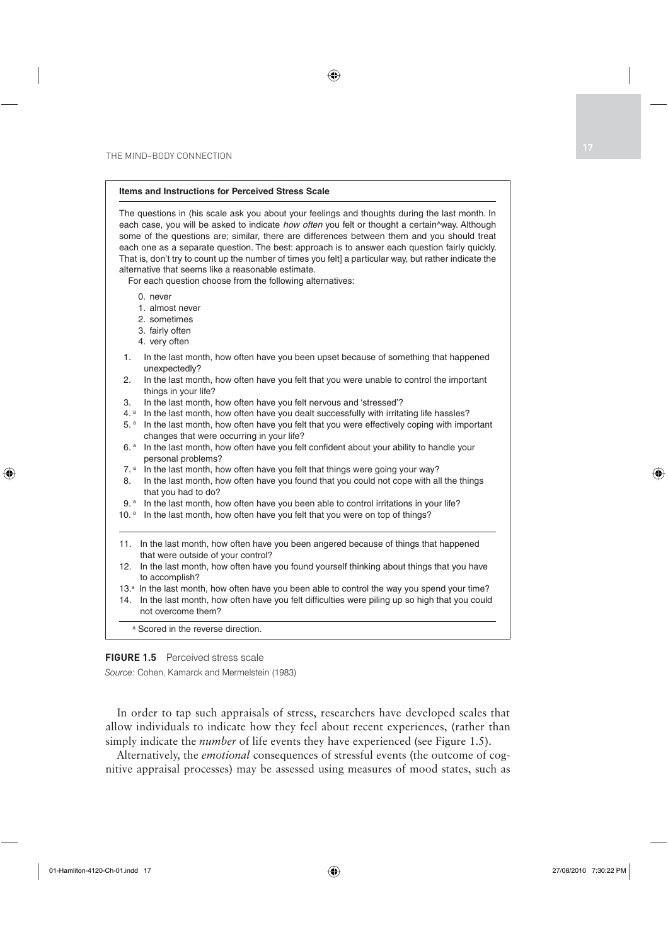#### **Items and Instructions for Perceived Stress Scale**

The questions in (his scale ask you about your feelings and thoughts during the last month. In each case, you will be asked to indicate how often you felt or thought a certain^way. Although some of the questions are; similar, there are differences between them and you should treat each one as a separate question. The best: approach is to answer each question fairly quickly. That is, don't try to count up the number of times you felt] a particular way, but rather indicate the alternative that seems like a reasonable estimate.

♠

For each question choose from the following alternatives:

- 0. never
- 1. almost never
- 2. sometimes
- 3. fairly often
- 4. very often
- 1. In the last month, how often have you been upset because of something that happened unexpectedly?
- 2. In the last month, how often have you felt that you were unable to control the important things in your life?
- 3. In the last month, how often have you felt nervous and 'stressed'?
- 4. <sup>a</sup> In the last month, how often have you dealt successfully with irritating life hassles?
- 5.<sup>a</sup> In the last month, how often have you felt that you were effectively coping with important changes that were occurring in your life?
- 6.<sup>a</sup> In the last month, how often have you felt confident about your ability to handle your personal problems?
- 7.<sup>a</sup> In the last month, how often have you felt that things were going your way?
- 8. In the last month, how often have you found that you could not cope with all the things that you had to do?
- 9.<sup>a</sup> In the last month, how often have you been able to control irritations in your life?
- 10.<sup>a</sup> In the last month, how often have you felt that you were on top of things?
- 11. In the last month, how often have you been angered because of things that happened that were outside of your control?
- 12. In the last month, how often have you found yourself thinking about things that you have to accomplish?
- 13.<sup>a</sup> In the last month, how often have you been able to control the way you spend your time? 14. In the last month, how often have you felt difficulties were piling up so high that you could not overcome them?

a Scored in the reverse direction.

**FIGURE 1.5** Perceived stress scale

*Source:* Cohen, Kamarck and Mermelstein (1983)

In order to tap such appraisals of stress, researchers have developed scales that allow individuals to indicate how they feel about recent experiences, (rather than simply indicate the *number* of life events they have experienced (see Figure 1.5).

Alternatively, the *emotional* consequences of stressful events (the outcome of cognitive appraisal processes) may be assessed using measures of mood states, such as

◈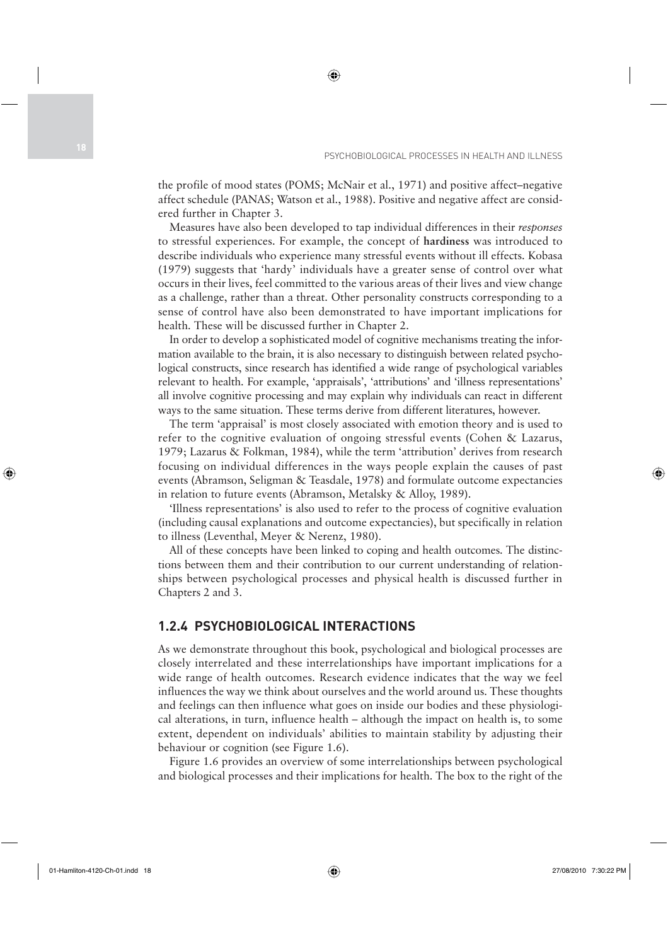the profile of mood states (POMS; McNair et al., 1971) and positive affect–negative affect schedule (PANAS; Watson et al., 1988). Positive and negative affect are considered further in Chapter 3.

◈

Measures have also been developed to tap individual differences in their *responses* to stressful experiences. For example, the concept of **hardiness** was introduced to describe individuals who experience many stressful events without ill effects. Kobasa (1979) suggests that 'hardy' individuals have a greater sense of control over what occurs in their lives, feel committed to the various areas of their lives and view change as a challenge, rather than a threat. Other personality constructs corresponding to a sense of control have also been demonstrated to have important implications for health. These will be discussed further in Chapter 2.

In order to develop a sophisticated model of cognitive mechanisms treating the information available to the brain, it is also necessary to distinguish between related psychological constructs, since research has identified a wide range of psychological variables relevant to health. For example, 'appraisals', 'attributions' and 'illness representations' all involve cognitive processing and may explain why individuals can react in different ways to the same situation. These terms derive from different literatures, however.

The term 'appraisal' is most closely associated with emotion theory and is used to refer to the cognitive evaluation of ongoing stressful events (Cohen & Lazarus, 1979; Lazarus & Folkman, 1984), while the term 'attribution' derives from research focusing on individual differences in the ways people explain the causes of past events (Abramson, Seligman & Teasdale, 1978) and formulate outcome expectancies in relation to future events (Abramson, Metalsky & Alloy, 1989).

'Illness representations' is also used to refer to the process of cognitive evaluation (including causal explanations and outcome expectancies), but specifically in relation to illness (Leventhal, Meyer & Nerenz, 1980).

All of these concepts have been linked to coping and health outcomes. The distinctions between them and their contribution to our current understanding of relationships between psychological processes and physical health is discussed further in Chapters 2 and 3.

#### **1.2.4 PSYCHOBIOLOGICAL INTERACTIONS**

As we demonstrate throughout this book, psychological and biological processes are closely interrelated and these interrelationships have important implications for a wide range of health outcomes. Research evidence indicates that the way we feel influences the way we think about ourselves and the world around us. These thoughts and feelings can then influence what goes on inside our bodies and these physiological alterations, in turn, influence health – although the impact on health is, to some extent, dependent on individuals' abilities to maintain stability by adjusting their behaviour or cognition (see Figure 1.6).

Figure 1.6 provides an overview of some interrelationships between psychological and biological processes and their implications for health. The box to the right of the

◈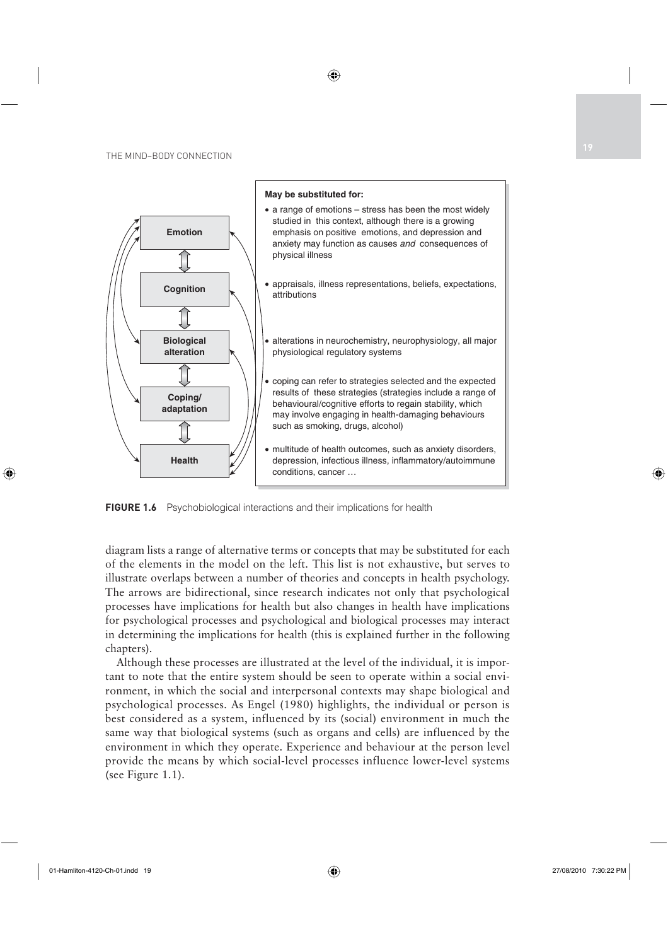

⊕

**FIGURE 1.6** Psychobiological interactions and their implications for health

diagram lists a range of alternative terms or concepts that may be substituted for each of the elements in the model on the left. This list is not exhaustive, but serves to illustrate overlaps between a number of theories and concepts in health psychology. The arrows are bidirectional, since research indicates not only that psychological processes have implications for health but also changes in health have implications for psychological processes and psychological and biological processes may interact in determining the implications for health (this is explained further in the following chapters).

Although these processes are illustrated at the level of the individual, it is important to note that the entire system should be seen to operate within a social environment, in which the social and interpersonal contexts may shape biological and psychological processes. As Engel (1980) highlights, the individual or person is best considered as a system, influenced by its (social) environment in much the same way that biological systems (such as organs and cells) are influenced by the environment in which they operate. Experience and behaviour at the person level provide the means by which social-level processes influence lower-level systems (see Figure 1.1).

⊕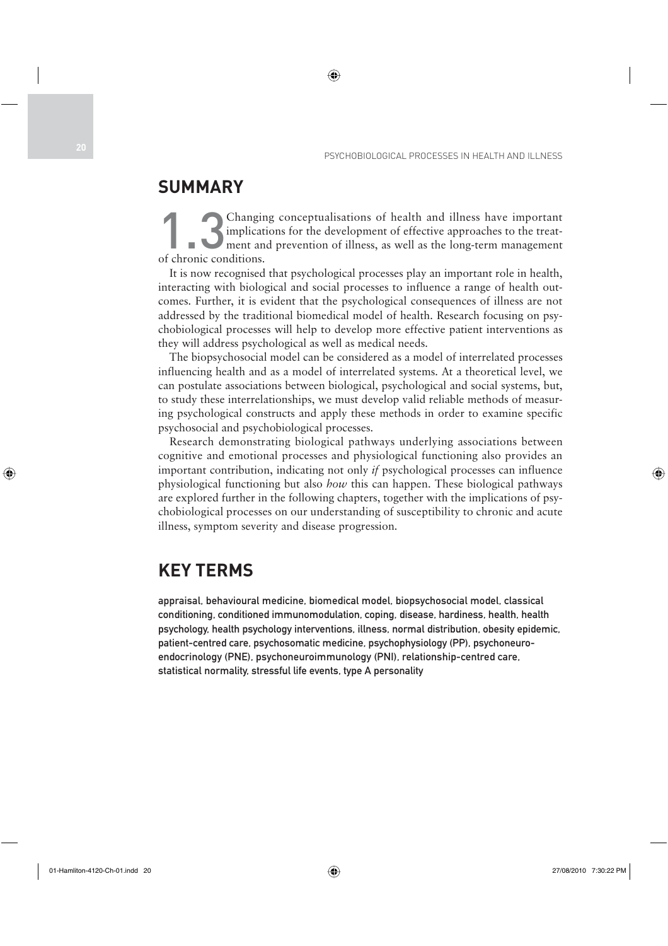# **SUMMARY**

Changing conceptualisations of health and illness have important implications for the development of effective approaches to the treat-<br>of chronic conditions implications for the development of effective approaches to the treatment and prevention of illness, as well as the long-term management of chronic conditions.

◈

It is now recognised that psychological processes play an important role in health, interacting with biological and social processes to influence a range of health outcomes. Further, it is evident that the psychological consequences of illness are not addressed by the traditional biomedical model of health. Research focusing on psychobiological processes will help to develop more effective patient interventions as they will address psychological as well as medical needs.

The biopsychosocial model can be considered as a model of interrelated processes influencing health and as a model of interrelated systems. At a theoretical level, we can postulate associations between biological, psychological and social systems, but, to study these interrelationships, we must develop valid reliable methods of measuring psychological constructs and apply these methods in order to examine specific psychosocial and psychobiological processes.

Research demonstrating biological pathways underlying associations between cognitive and emotional processes and physiological functioning also provides an important contribution, indicating not only *if* psychological processes can influence physiological functioning but also *how* this can happen. These biological pathways are explored further in the following chapters, together with the implications of psychobiological processes on our understanding of susceptibility to chronic and acute illness, symptom severity and disease progression.

# **KEY TERMS**

appraisal, behavioural medicine, biomedical model, biopsychosocial model, classical conditioning, conditioned immunomodulation, coping, disease, hardiness, health, health psychology, health psychology interventions, illness, normal distribution, obesity epidemic, patient-centred care, psychosomatic medicine, psychophysiology (PP), psychoneuroendocrinology (PNE), psychoneuroimmunology (PNI), relationship-centred care, statistical normality, stressful life events, type A personality

◈